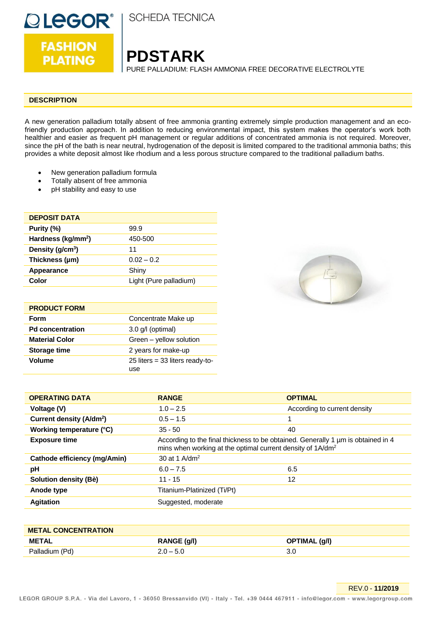

**FASHION PLATING** 

**SCHEDA TECNICA** 

**PDSTARK**

PURE PALLADIUM: FLASH AMMONIA FREE DECORATIVE ELECTROLYTE

#### **DESCRIPTION**

A new generation palladium totally absent of free ammonia granting extremely simple production management and an ecofriendly production approach. In addition to reducing environmental impact, this system makes the operator's work both healthier and easier as frequent pH management or regular additions of concentrated ammonia is not required. Moreover, since the pH of the bath is near neutral, hydrogenation of the deposit is limited compared to the traditional ammonia baths; this provides a white deposit almost like rhodium and a less porous structure compared to the traditional palladium baths.

- New generation palladium formula
- Totally absent of free ammonia
- pH stability and easy to use

| <b>DEPOSIT DATA</b>            |                        |
|--------------------------------|------------------------|
| Purity (%)                     | 99.9                   |
| Hardness (kg/mm <sup>2</sup> ) | 450-500                |
| Density (g/cm <sup>3</sup> )   | 11                     |
| Thickness (µm)                 | $0.02 - 0.2$           |
| Appearance                     | Shiny                  |
| Color                          | Light (Pure palladium) |
|                                |                        |

| <b>PRODUCT FORM</b>     |                                          |
|-------------------------|------------------------------------------|
| Form                    | Concentrate Make up                      |
| <b>Pd concentration</b> | $3.0$ g/l (optimal)                      |
| <b>Material Color</b>   | Green - yellow solution                  |
| <b>Storage time</b>     | 2 years for make-up                      |
| <b>Volume</b>           | 25 liters = $33$ liters ready-to-<br>use |



| <b>OPERATING DATA</b>                | <b>RANGE</b>                                                                                                                                               | <b>OPTIMAL</b>               |
|--------------------------------------|------------------------------------------------------------------------------------------------------------------------------------------------------------|------------------------------|
| Voltage (V)                          | $1.0 - 2.5$                                                                                                                                                | According to current density |
| Current density (A/dm <sup>2</sup> ) | $0.5 - 1.5$                                                                                                                                                |                              |
| Working temperature (°C)             | $35 - 50$                                                                                                                                                  | 40                           |
| <b>Exposure time</b>                 | According to the final thickness to be obtained. Generally 1 µm is obtained in 4<br>mins when working at the optimal current density of 1A/dm <sup>2</sup> |                              |
| <b>Cathode efficiency (mg/Amin)</b>  | 30 at 1 $A/dm^2$                                                                                                                                           |                              |
| рH                                   | $6.0 - 7.5$                                                                                                                                                | 6.5                          |
| Solution density (Bè)                | $11 - 15$                                                                                                                                                  | 12                           |
| Anode type                           | Titanium-Platinized (Ti/Pt)                                                                                                                                |                              |
| <b>Agitation</b>                     | Suggested, moderate                                                                                                                                        |                              |

| <b>METAL CONCENTRATION</b> |             |               |
|----------------------------|-------------|---------------|
| METAL                      | RANGE (g/l) | OPTIMAL (g/l) |
| Palladium (Pd)             | $2.0 - 5.0$ | 3.0           |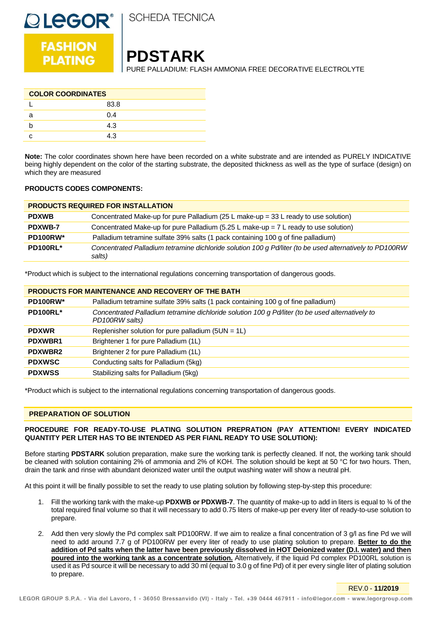

**OLEGOR<sup>®</sup>**<br>FASHION

# **PDSTARK**

PURE PALLADIUM: FLASH AMMONIA FREE DECORATIVE ELECTROLYTE

| <b>COLOR COORDINATES</b> |      |  |
|--------------------------|------|--|
|                          | 83.8 |  |
|                          | 0.4  |  |
|                          | 4.3  |  |
|                          | 4 3  |  |

**Note:** The color coordinates shown here have been recorded on a white substrate and are intended as PURELY INDICATIVE being highly dependent on the color of the starting substrate, the deposited thickness as well as the type of surface (design) on which they are measured

## **PRODUCTS CODES COMPONENTS:**

| <b>PRODUCTS REQUIRED FOR INSTALLATION</b> |                                                                                                                    |
|-------------------------------------------|--------------------------------------------------------------------------------------------------------------------|
| <b>PDXWB</b>                              | Concentrated Make-up for pure Palladium (25 L make-up = 33 L ready to use solution)                                |
| <b>PDXWB-7</b>                            | Concentrated Make-up for pure Palladium (5.25 L make-up = $7$ L ready to use solution)                             |
| PD100RW*                                  | Palladium tetramine sulfate 39% salts (1 pack containing 100 g of fine palladium)                                  |
| PD100RL*                                  | Concentrated Palladium tetramine dichloride solution 100 g Pd/liter (to be used alternatively to PD100RW<br>salts) |

\*Product which is subject to the international regulations concerning transportation of dangerous goods.

| <b>PRODUCTS FOR MAINTENANCE AND RECOVERY OF THE BATH</b> |                                                                                                                    |
|----------------------------------------------------------|--------------------------------------------------------------------------------------------------------------------|
| PD100RW*                                                 | Palladium tetramine sulfate 39% salts (1 pack containing 100 g of fine palladium)                                  |
| PD100RL*                                                 | Concentrated Palladium tetramine dichloride solution 100 g Pd/liter (to be used alternatively to<br>PD100RW salts) |
| <b>PDXWR</b>                                             | Replenisher solution for pure palladium ( $5UN = 1L$ )                                                             |
| <b>PDXWBR1</b>                                           | Brightener 1 for pure Palladium (1L)                                                                               |
| <b>PDXWBR2</b>                                           | Brightener 2 for pure Palladium (1L)                                                                               |
| <b>PDXWSC</b>                                            | Conducting salts for Palladium (5kg)                                                                               |
| <b>PDXWSS</b>                                            | Stabilizing salts for Palladium (5kg)                                                                              |

\*Product which is subject to the international regulations concerning transportation of dangerous goods.

## **PREPARATION OF SOLUTION**

## **PROCEDURE FOR READY-TO-USE PLATING SOLUTION PREPRATION (PAY ATTENTION! EVERY INDICATED QUANTITY PER LITER HAS TO BE INTENDED AS PER FIANL READY TO USE SOLUTION):**

Before starting **PDSTARK** solution preparation, make sure the working tank is perfectly cleaned. If not, the working tank should be cleaned with solution containing 2% of ammonia and 2% of KOH. The solution should be kept at 50 °C for two hours. Then, drain the tank and rinse with abundant deionized water until the output washing water will show a neutral pH.

At this point it will be finally possible to set the ready to use plating solution by following step-by-step this procedure:

- 1. Fill the working tank with the make-up **PDXWB or PDXWB-7**. The quantity of make-up to add in liters is equal to ¾ of the total required final volume so that it will necessary to add 0.75 liters of make-up per every liter of ready-to-use solution to prepare.
- 2. Add then very slowly the Pd complex salt PD100RW. If we aim to realize a final concentration of 3 g/l as fine Pd we will need to add around 7.7 g of PD100RW per every liter of ready to use plating solution to prepare. **Better to do the addition of Pd salts when the latter have been previously dissolved in HOT Deionized water (D.I. water) and then poured into the working tank as a concentrate solution.** Alternatively, if the liquid Pd complex PD100RL solution is used it as Pd source it will be necessary to add 30 ml (equal to 3.0 g of fine Pd) of it per every single liter of plating solution to prepare.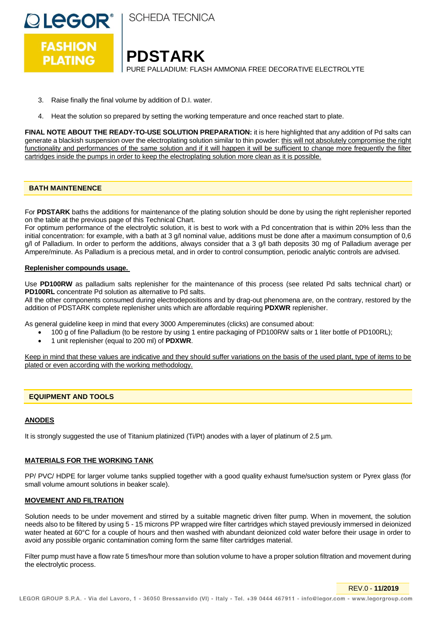

**SCHEDA TECNICA** 

**PDSTARK** PURE PALLADIUM: FLASH AMMONIA FREE DECORATIVE ELECTROLYTE

- 3. Raise finally the final volume by addition of D.I. water.
- 4. Heat the solution so prepared by setting the working temperature and once reached start to plate.

**FINAL NOTE ABOUT THE READY-TO-USE SOLUTION PREPARATION:** it is here highlighted that any addition of Pd salts can generate a blackish suspension over the electroplating solution similar to thin powder: this will not absolutely compromise the right functionality and performances of the same solution and if it will happen it will be sufficient to change more frequently the filter cartridges inside the pumps in order to keep the electroplating solution more clean as it is possible.

## **BATH MAINTENENCE**

For **PDSTARK** baths the additions for maintenance of the plating solution should be done by using the right replenisher reported on the table at the previous page of this Technical Chart.

For optimum performance of the electrolytic solution, it is best to work with a Pd concentration that is within 20% less than the initial concentration: for example, with a bath at 3 g/l nominal value, additions must be done after a maximum consumption of 0,6 g/l of Palladium. In order to perform the additions, always consider that a 3 g/l bath deposits 30 mg of Palladium average per Ampere/minute. As Palladium is a precious metal, and in order to control consumption, periodic analytic controls are advised.

## **Replenisher compounds usage.**

Use **PD100RW** as palladium salts replenisher for the maintenance of this process (see related Pd salts technical chart) or **PD100RL** concentrate Pd solution as alternative to Pd salts.

All the other components consumed during electrodepositions and by drag-out phenomena are, on the contrary, restored by the addition of PDSTARK complete replenisher units which are affordable requiring **PDXWR** replenisher.

As general guideline keep in mind that every 3000 Ampereminutes (clicks) are consumed about:

- 100 g of fine Palladium (to be restore by using 1 entire packaging of PD100RW salts or 1 liter bottle of PD100RL);
- 1 unit replenisher (equal to 200 ml) of **PDXWR**.

Keep in mind that these values are indicative and they should suffer variations on the basis of the used plant, type of items to be plated or even according with the working methodology.

## **EQUIPMENT AND TOOLS**

## **ANODES**

It is strongly suggested the use of Titanium platinized (Ti/Pt) anodes with a layer of platinum of 2.5 µm.

## **MATERIALS FOR THE WORKING TANK**

PP/ PVC/ HDPE for larger volume tanks supplied together with a good quality exhaust fume/suction system or Pyrex glass (for small volume amount solutions in beaker scale).

## **MOVEMENT AND FILTRATION**

Solution needs to be under movement and stirred by a suitable magnetic driven filter pump. When in movement, the solution needs also to be filtered by using 5 - 15 microns PP wrapped wire filter cartridges which stayed previously immersed in deionized water heated at 60°C for a couple of hours and then washed with abundant deionized cold water before their usage in order to avoid any possible organic contamination coming form the same filter cartridges material.

Filter pump must have a flow rate 5 times/hour more than solution volume to have a proper solution filtration and movement during the electrolytic process.

REV.0 - **11/2019**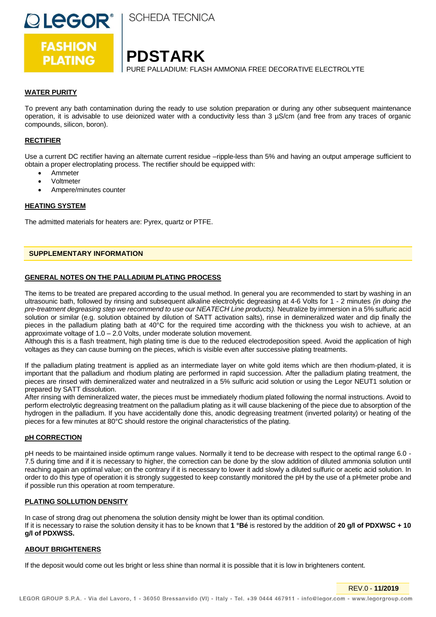

**I SCHEDA TECNICA** 

## **PDSTARK**

PURE PALLADIUM: FLASH AMMONIA FREE DECORATIVE ELECTROLYTE

## **WATER PURITY**

To prevent any bath contamination during the ready to use solution preparation or during any other subsequent maintenance operation, it is advisable to use deionized water with a conductivity less than 3 µS/cm (and free from any traces of organic compounds, silicon, boron).

## **RECTIFIER**

Use a current DC rectifier having an alternate current residue –ripple-less than 5% and having an output amperage sufficient to obtain a proper electroplating process. The rectifier should be equipped with:

- Ammeter
- Voltmeter
- Ampere/minutes counter

#### **HEATING SYSTEM**

The admitted materials for heaters are: Pyrex, quartz or PTFE.

## **SUPPLEMENTARY INFORMATION**

#### **GENERAL NOTES ON THE PALLADIUM PLATING PROCESS**

The items to be treated are prepared according to the usual method. In general you are recommended to start by washing in an ultrasounic bath, followed by rinsing and subsequent alkaline electrolytic degreasing at 4-6 Volts for 1 - 2 minutes *(in doing the pre-treatment degreasing step we recommend to use our NEATECH Line products).* Neutralize by immersion in a 5% sulfuric acid solution or similar (e.g. solution obtained by dilution of SATT activation salts), rinse in demineralized water and dip finally the pieces in the palladium plating bath at 40°C for the required time according with the thickness you wish to achieve, at an approximate voltage of 1.0 – 2.0 Volts, under moderate solution movement.

Although this is a flash treatment, high plating time is due to the reduced electrodeposition speed. Avoid the application of high voltages as they can cause burning on the pieces, which is visible even after successive plating treatments.

If the palladium plating treatment is applied as an intermediate layer on white gold items which are then rhodium-plated, it is important that the palladium and rhodium plating are performed in rapid succession. After the palladium plating treatment, the pieces are rinsed with demineralized water and neutralized in a 5% sulfuric acid solution or using the Legor NEUT1 solution or prepared by SATT dissolution.

After rinsing with demineralized water, the pieces must be immediately rhodium plated following the normal instructions. Avoid to perform electrolytic degreasing treatment on the palladium plating as it will cause blackening of the piece due to absorption of the hydrogen in the palladium. If you have accidentally done this, anodic degreasing treatment (inverted polarity) or heating of the pieces for a few minutes at 80°C should restore the original characteristics of the plating.

#### **pH CORRECTION**

pH needs to be maintained inside optimum range values. Normally it tend to be decrease with respect to the optimal range 6.0 - 7.5 during time and if it is necessary to higher, the correction can be done by the slow addition of diluted ammonia solution until reaching again an optimal value; on the contrary if it is necessary to lower it add slowly a diluted sulfuric or acetic acid solution. In order to do this type of operation it is strongly suggested to keep constantly monitored the pH by the use of a pHmeter probe and if possible run this operation at room temperature.

## **PLATING SOLLUTION DENSITY**

In case of strong drag out phenomena the solution density might be lower than its optimal condition. If it is necessary to raise the solution density it has to be known that **1 °Bé** is restored by the addition of **20 g/l of PDXWSC + 10 g/l of PDXWSS.**

## **ABOUT BRIGHTENERS**

If the deposit would come out les bright or less shine than normal it is possible that it is low in brighteners content.

REV.0 - **11/2019**